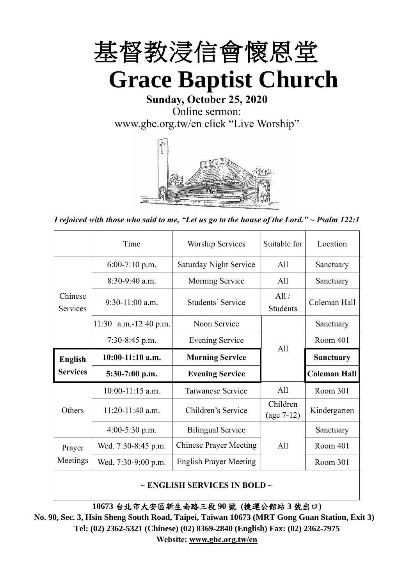

**Sunday, October 25, 2020** Online sermon: [www.gbc.org.tw/en](http://www.gbc.org.tw/en) click "Live Worship"



*I rejoiced with those who said to me, "Let us go to the house of the Lord." ~ Psalm 122:1*

|                            | Time                                   | <b>Worship Services</b>       | Suitable for             | Location            |
|----------------------------|----------------------------------------|-------------------------------|--------------------------|---------------------|
|                            | $6:00-7:10$ p.m.                       | <b>Saturday Night Service</b> | All                      | Sanctuary           |
|                            | $8:30-9:40$ a.m.                       | Morning Service               | All                      | Sanctuary           |
| Chinese<br><b>Services</b> | $9:30-11:00$ a.m.<br>Students' Service |                               | All /<br><b>Students</b> | Coleman Hall        |
|                            | 11:30 a.m.-12:40 p.m.                  | Noon Service                  |                          | Sanctuary           |
|                            | $7:30-8:45$ p.m.                       | <b>Evening Service</b>        | All                      | Room 401            |
|                            |                                        |                               |                          |                     |
| <b>English</b>             | $10:00-11:10$ a.m.                     | <b>Morning Service</b>        |                          | <b>Sanctuary</b>    |
| <b>Services</b>            | $5:30-7:00$ p.m.                       | <b>Evening Service</b>        |                          | <b>Coleman Hall</b> |
|                            | $10:00-11:15$ a.m.                     | Taiwanese Service             | All                      | Room 301            |
| Others                     | $11:20-11:40$ a.m.                     | Children's Service            | Children<br>$(age 7-12)$ | Kindergarten        |
|                            | $4:00-5:30$ p.m.                       | <b>Bilingual Service</b>      |                          | Sanctuary           |
| Prayer                     | Wed. 7:30-8:45 p.m.                    | <b>Chinese Prayer Meeting</b> | A11                      | Room 401            |
| Meetings                   | Wed. 7:30-9:00 p.m.                    | <b>English Prayer Meeting</b> |                          | Room 301            |

### **~ ENGLISH SERVICES IN BOLD ~**

**10673** 台北市大安區新生南路三段 **90** 號 **(**捷運公館站 **3** 號出口**)**

**No. 90, Sec. 3, Hsin Sheng South Road, Taipei, Taiwan 10673 (MRT Gong Guan Station, Exit 3) Tel: (02) 2362-5321 (Chinese) (02) 8369-2840 (English) Fax: (02) 2362-7975 Website: [www.gbc.org.tw/en](http://www.gbc.org.tw/en)**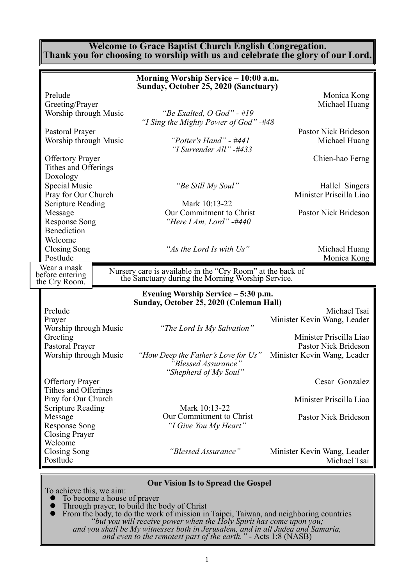#### **Welcome to Grace Baptist Church English Congregation. Thank you for choosing to worship with us and celebrate the glory of our Lord.**

|                                                                         | Morning Worship Service – 10:00 a.m.                                                                         |                                                                                |
|-------------------------------------------------------------------------|--------------------------------------------------------------------------------------------------------------|--------------------------------------------------------------------------------|
| Prelude<br>Greeting/Prayer<br>Worship through Music                     | Sunday, October 25, 2020 (Sanctuary)<br>"Be Exalted, $O$ God" - #19                                          | Monica Kong<br>Michael Huang                                                   |
| Pastoral Prayer<br>Worship through Music                                | "I Sing the Mighty Power of God" -#48<br>"Potter's Hand" - $\#441$<br>"I Surrender All" -#433                | Pastor Nick Brideson<br>Michael Huang                                          |
| <b>Offertory Prayer</b><br>Tithes and Offerings<br>Doxology             |                                                                                                              | Chien-hao Ferng                                                                |
| Special Music<br>Pray for Our Church<br><b>Scripture Reading</b>        | "Be Still My Soul"<br>Mark 10:13-22                                                                          | Hallel Singers<br>Minister Priscilla Liao                                      |
| Message<br><b>Response Song</b><br>Benediction                          | Our Commitment to Christ<br>"Here I Am, Lord" -#440                                                          | Pastor Nick Brideson                                                           |
| Welcome<br>Closing Song<br>Postlude                                     | "As the Lord Is with Us"                                                                                     | Michael Huang<br>Monica Kong                                                   |
| Wear a mask<br>before entering<br>the Cry Room.                         | Nursery care is available in the "Cry Room" at the back of the Sanctuary during the Morning Worship Service. |                                                                                |
|                                                                         | Evening Worship Service – 5:30 p.m.<br>Sunday, October 25, 2020 (Coleman Hall)                               |                                                                                |
| Prelude<br>Prayer<br>Worship through Music                              | "The Lord Is My Salvation"                                                                                   | Michael Tsai<br>Minister Kevin Wang, Leader                                    |
| Greeting<br>Pastoral Prayer<br>Worship through Music                    | "How Deep the Father's Love for Us"<br>"Blessed Assurance"                                                   | Minister Priscilla Liao<br>Pastor Nick Brideson<br>Minister Kevin Wang, Leader |
| <b>Offertory Prayer</b>                                                 | "Shepherd of My Soul"                                                                                        | Cesar Gonzalez                                                                 |
| Tithes and Offerings<br>Pray for Our Church<br><b>Scripture Reading</b> | Mark 10:13-22                                                                                                | Minister Priscilla Liao                                                        |
| Message<br><b>Response Song</b><br><b>Closing Prayer</b>                | Our Commitment to Christ<br>"I Give You My Heart"                                                            | Pastor Nick Brideson                                                           |
| Welcome<br><b>Closing Song</b><br>Postlude                              | "Blessed Assurance"                                                                                          | Minister Kevin Wang, Leader<br>Michael Tsai                                    |
|                                                                         |                                                                                                              |                                                                                |

**Our Vision Is to Spread the Gospel**

To achieve this, we aim:

- ⚫ To become a house of prayer
- ⚫ Through prayer, to build the body of Christ
- ⚫ From the body, to do the work of mission in Taipei, Taiwan, and neighboring countries *"but you will receive power when the Holy Spirit has come upon you; and you shall be My witnesses both in Jerusalem, and in all Judea and Samaria, and even to the remotest part of the earth." -* Acts 1:8 (NASB)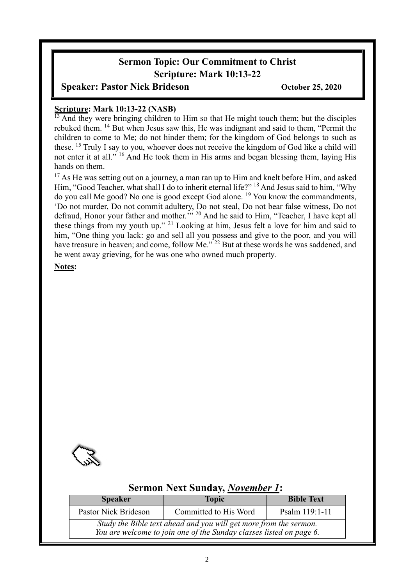# **Sermon Topic: Our Commitment to Christ Scripture: Mark 10:13-22**

## **Speaker: Pastor Nick Brideson** October 25, 2020

# **Scripture: Mark 10:13-22 (NASB)**

 $\frac{13}{13}$  And they were bringing children to Him so that He might touch them; but the disciples rebuked them. <sup>14</sup> But when Jesus saw this, He was indignant and said to them, "Permit the children to come to Me; do not hinder them; for the kingdom of God belongs to such as these. <sup>15</sup> Truly I say to you, whoever does not receive the kingdom of God like a child will not enter it at all." <sup>16</sup> And He took them in His arms and began blessing them, laying His hands on them.

<sup>17</sup> As He was setting out on a journey, a man ran up to Him and knelt before Him, and asked Him, "Good Teacher, what shall I do to inherit eternal life?" <sup>18</sup> And Jesus said to him, "Why do you call Me good? No one is good except God alone. <sup>19</sup> You know the commandments, 'Do not murder, Do not commit adultery, Do not steal, Do not bear false witness, Do not defraud, Honor your father and mother."<sup>20</sup> And he said to Him, "Teacher, I have kept all these things from my youth up." <sup>21</sup> Looking at him, Jesus felt a love for him and said to him, "One thing you lack: go and sell all you possess and give to the poor, and you will have treasure in heaven; and come, follow Me."<sup>22</sup> But at these words he was saddened, and he went away grieving, for he was one who owned much property.

#### **Notes:**



## **Sermon Next Sunday,** *November 1***:**

| <b>Speaker</b>                                                                                                                           | <b>Topic</b>          | <b>Bible Text</b> |  |  |  |
|------------------------------------------------------------------------------------------------------------------------------------------|-----------------------|-------------------|--|--|--|
| Pastor Nick Brideson                                                                                                                     | Committed to His Word | Psalm 119:1-11    |  |  |  |
| Study the Bible text ahead and you will get more from the sermon.<br>You are welcome to join one of the Sunday classes listed on page 6. |                       |                   |  |  |  |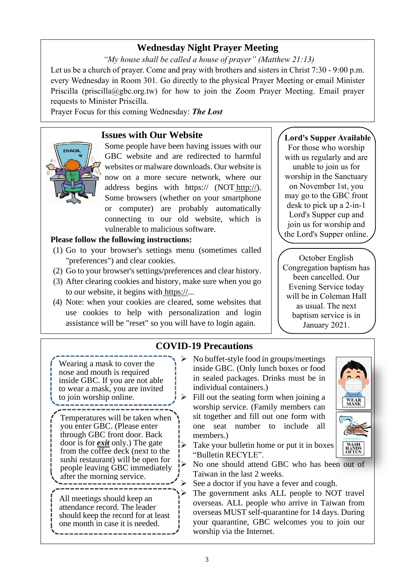## **Wednesday Night Prayer Meeting**

*"My house shall be called a house of prayer" (Matthew 21:13)* Let us be a church of prayer. Come and pray with brothers and sisters in Christ 7:30 - 9:00 p.m. every Wednesday in Room 301. Go directly to the physical Prayer Meeting or email Minister Priscilla (priscilla@gbc.org.tw) for how to join the Zoom Prayer Meeting. Email prayer requests to Minister Priscilla.

Prayer Focus for this coming Wednesday: *The Lost*

## **Issues with Our Website**



Some people have been having issues with our GBC website and are redirected to harmful websites or malware downloads. Our website is now on a more secure network, where our address begins with https:// (NOT http://). Some browsers (whether on your smartphone or computer) are probably automatically connecting to our old website, which is vulnerable to malicious software.

### **Please follow the following instructions:**

- (1) Go to your browser's settings menu (sometimes called "preferences") and clear cookies.
- (2) Go to your browser's settings/preferences and clear history.
- (3) After clearing cookies and history, make sure when you go to our website, it begins with https://...
- (4) Note: when your cookies are cleared, some websites that use cookies to help with personalization and login assistance will be "reset" so you will have to login again.

### **Lord's Supper Available**

For those who worship with us regularly and are unable to join us for worship in the Sanctuary on November 1st, you may go to the GBC front desk to pick up a 2-in-1 Lord's Supper cup and join us for worship and the Lord's Supper online.

October English Congregation baptism has been cancelled. Our Evening Service today will be in Coleman Hall as usual. The next baptism service is in January 2021.

#### **COVID-19 Precautions** ➢ No buffet-style food in groups/meetings inside GBC. (Only lunch boxes or food in sealed packages. Drinks must be in individual containers.) Fill out the seating form when joining a worship service. (Family members can sit together and fill out one form with one seat number to include all members.)  $\triangleright$  Take your bulletin home or put it in boxes "Bulletin RECYLE". ➢ No one should attend GBC who has been out of Taiwan in the last 2 weeks.  $\triangleright$  See a doctor if you have a fever and cough. ➢ The government asks ALL people to NOT travel overseas. ALL people who arrive in Taiwan from overseas MUST self-quarantine for 14 days. During your quarantine, GBC welcomes you to join our worship via the Internet. All meetings should keep an attendance record. The leader should keep the record for at least one month in case it is needed. Wearing a mask to cover the nose and mouth is required inside GBC. If you are not able to wear a mask, you are invited to join worship online. Temperatures will be taken when you enter GBC. (Please enter through GBC front door. Back door is for *exit* only.) The gate from the coffee deck (next to the sushi restaurant) will be open for people leaving GBC immediately after the morning service.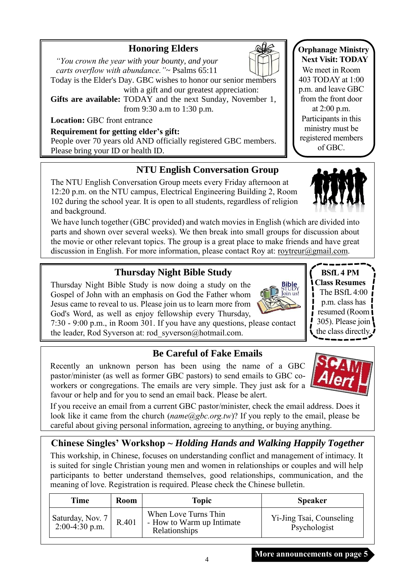## **Honoring Elders**

 *"You crown the year with your bounty, and your carts overflow with abundance."*~ Psalms 65:11

Today is the Elder's Day. GBC wishes to honor our senior members with a gift and our greatest appreciation:

**Gifts are available:** TODAY and the next Sunday, November 1, from 9:30 a.m to 1:30 p.m.

**Location:** GBC front entrance

## **Requirement for getting elder's gift:**

People over 70 years old AND officially registered GBC members. Please bring your ID or health ID.

# **NTU English Conversation Group**

The NTU English Conversation Group meets every Friday afternoon at 12:20 p.m. on the NTU campus, Electrical Engineering Building 2, Room 102 during the school year. It is open to all students, regardless of religion and background.

We have lunch together (GBC provided) and watch movies in English (which are divided into parts and shown over several weeks). We then break into small groups for discussion about the movie or other relevant topics. The group is a great place to make friends and have great discussion in English. For more information, please contact Roy at: [roytreur@gmail.com.](mailto:roytreur@gmail.com)

# **Thursday Night Bible Study**

Thursday Night Bible Study is now doing a study on the Gospel of John with an emphasis on God the Father whom Jesus came to reveal to us. Please join us to learn more from God's Word, as well as enjoy fellowship every Thursday,

7:30 - 9:00 p.m., in Room 301. If you have any questions, please contact the leader, Rod Syverson at: rod\_syverson@hotmail.com.

# **Be Careful of Fake Emails**

Recently an unknown person has been using the name of a GBC pastor/minister (as well as former GBC pastors) to send emails to GBC coworkers or congregations. The emails are very simple. They just ask for a favour or help and for you to send an email back. Please be alert.

If you receive an email from a current GBC pastor/minister, check the email address. Does it look like it came from the church (*name*@gbc.org.tw)? If you reply to the email, please be careful about giving personal information, agreeing to anything, or buying anything.

# **Chinese Singles' Workshop ~** *Holding Hands and Walking Happily Together*

This workship, in Chinese, focuses on understanding conflict and management of intimacy. It is suited for single Christian young men and women in relationships or couples and will help participants to better understand themselves, good relationships, communication, and the meaning of love. Registration is required. Please check the Chinese bulletin.

| Time                                | Room  | Topic                                                              | <b>Speaker</b>                           |  |
|-------------------------------------|-------|--------------------------------------------------------------------|------------------------------------------|--|
| Saturday, Nov. 7   $2:00-4:30$ p.m. | R.401 | When Love Turns Thin<br>- How to Warm up Intimate<br>Relationships | Yi-Jing Tsai, Counseling<br>Psychologist |  |

4



**Orphanage Ministry Next Visit: TODAY** We meet in Room



**BSfL 4 PM Class Resumes** The BSfL 4:00 p.m. class has resumed (Room I 305). Please join the class directly.

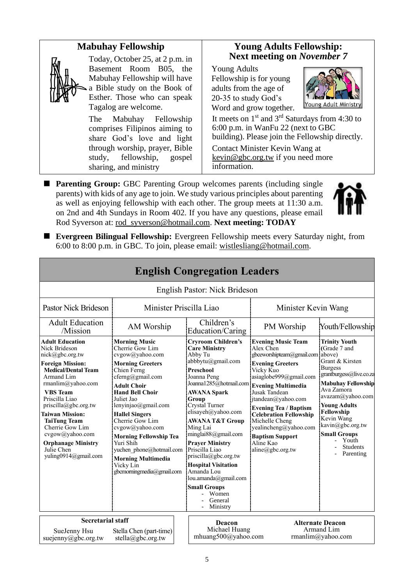#### **Mabuhay Fellowship Young Adults Fellowship: Next meeting on** *November 7* Today, October 25, at 2 p.m. in Basement Room B05, the Young Adults Mabuhay Fellowship will have Fellowship is for young a Bible study on the Book of adults from the age of Esther. Those who can speak 20-35 to study God's Young Adult Ministry Tagalog are welcome. Word and grow together. It meets on  $1<sup>st</sup>$  and  $3<sup>rd</sup>$  Saturdays from 4:30 to The Mabuhay Fellowship 6:00 p.m. in WanFu 22 (next to GBC comprises Filipinos aiming to building). Please join the Fellowship directly. share God's love and light through worship, prayer, Bible Contact Minister Kevin Wang at study, fellowship, gospel kevin@gbc.org.tw if you need more information. sharing, and ministry ■ **Parenting Group:** GBC Parenting Group welcomes parents (including single

parents) with kids of any age to join. We study various principles about parenting as well as enjoying fellowship with each other. The group meets at 11:30 a.m. on 2nd and 4th Sundays in Room 402. If you have any questions, please email Rod Syverson at: [rod\\_syverson@hotmail.com.](mailto:rod_syverson@hotmail.com) **Next meeting: TODAY**



■ **Evergreen Bilingual Fellowship:** Evergreen Fellowship meets every Saturday night, from 6:00 to 8:00 p.m. in GBC. To join, please email: [wistlesliang@hotmail.com.](mailto:wistlesliang@hotmail.com)

| <b>English Congregation Leaders</b>                                                                                                                                                                                                                                                                                                                                                       |                                                                                                                                                                                                                                                                                                                                                                                                                                  |  |                                                                                                                                                                                                                                                                                                                                                                                                                                                                                                                 |                                                                                                                                                                                                                                                                                                                                                            |                                                                                                                                                                                                                                                                                                            |  |
|-------------------------------------------------------------------------------------------------------------------------------------------------------------------------------------------------------------------------------------------------------------------------------------------------------------------------------------------------------------------------------------------|----------------------------------------------------------------------------------------------------------------------------------------------------------------------------------------------------------------------------------------------------------------------------------------------------------------------------------------------------------------------------------------------------------------------------------|--|-----------------------------------------------------------------------------------------------------------------------------------------------------------------------------------------------------------------------------------------------------------------------------------------------------------------------------------------------------------------------------------------------------------------------------------------------------------------------------------------------------------------|------------------------------------------------------------------------------------------------------------------------------------------------------------------------------------------------------------------------------------------------------------------------------------------------------------------------------------------------------------|------------------------------------------------------------------------------------------------------------------------------------------------------------------------------------------------------------------------------------------------------------------------------------------------------------|--|
|                                                                                                                                                                                                                                                                                                                                                                                           |                                                                                                                                                                                                                                                                                                                                                                                                                                  |  | English Pastor: Nick Brideson                                                                                                                                                                                                                                                                                                                                                                                                                                                                                   |                                                                                                                                                                                                                                                                                                                                                            |                                                                                                                                                                                                                                                                                                            |  |
| <b>Pastor Nick Brideson</b><br>Minister Priscilla Liao                                                                                                                                                                                                                                                                                                                                    |                                                                                                                                                                                                                                                                                                                                                                                                                                  |  |                                                                                                                                                                                                                                                                                                                                                                                                                                                                                                                 | Minister Kevin Wang                                                                                                                                                                                                                                                                                                                                        |                                                                                                                                                                                                                                                                                                            |  |
| <b>Adult Education</b><br>/Mission                                                                                                                                                                                                                                                                                                                                                        | AM Worship                                                                                                                                                                                                                                                                                                                                                                                                                       |  | Children's<br>Education/Caring                                                                                                                                                                                                                                                                                                                                                                                                                                                                                  | PM Worship                                                                                                                                                                                                                                                                                                                                                 | Youth/Fellowship                                                                                                                                                                                                                                                                                           |  |
| <b>Adult Education</b><br>Nick Brideson<br>nick@gbc.org.tw<br><b>Foreign Mission:</b><br><b>Medical/Dental Team</b><br>Armand Lim<br>rmanlim@yahoo.com<br><b>VBS</b> Team<br>Priscilla Liao<br>$priscilla(\partial gbc.org.tw)$<br><b>Taiwan Mission:</b><br><b>TaiTung Team</b><br>Cherrie Gow Lim<br>cvgow@yahoo.com<br><b>Orphanage Ministry</b><br>Julie Chen<br>yuling0914@gmail.com | <b>Morning Music</b><br>Cherrie Gow Lim<br>cvgow@yahoo.com<br><b>Morning Greeters</b><br>Chien Ferng<br>$c$ ferng@gmail.com<br><b>Adult Choir</b><br><b>Hand Bell Choir</b><br>Juliet Jao<br>lenyinjao@gmail.com<br><b>Hallel Singers</b><br>Cherrie Gow Lim<br>cvgow@yahoo.com<br><b>Morning Fellowship Tea</b><br>Yuri Shih<br>yuchen phone@hotmail.com<br><b>Morning Multimedia</b><br>Vicky Lin<br>gbcmorningmedia@gmail.com |  | <b>Cryroom Children's</b><br><b>Care Ministry</b><br>Abby Tu<br>abbbytu@gmail.com<br>Preschool<br>Joanna Peng<br>Joanna1285@hotmail.com Evening Multimedia<br><b>AWANA Spark</b><br>Group<br>Crystal Turner<br>elisayeh@yahoo.com<br><b>AWANA T&amp;T Group</b><br>Ming Lai<br>minglai88@gmail.com<br><b>Prayer Ministry</b><br>Priscilla Liao<br>$priscilla(\partial gbc.org.tw)$<br><b>Hospital Visitation</b><br>Amanda Lou<br>lou.amanda@gmail.com<br><b>Small Groups</b><br>- Women<br>General<br>Ministry | <b>Evening Music Team</b><br>Alex Chen<br>gbceworshipteam@gmail.com above)<br><b>Evening Greeters</b><br>Vicky Kuo<br>asiaglobe999@gmail.com<br>Jusak Tandean<br>jtandean@yahoo.com<br><b>Evening Tea / Baptism</b><br><b>Celebration Fellowship</b><br>Michelle Cheng<br>yealincheng@yahoo.com<br><b>Baptism Support</b><br>Aline Kao<br>aline@gbc.org.tw | <b>Trinity Youth</b><br>(Grade 7 and<br>Grant & Kirsten<br><b>Burgess</b><br>grantburgess@live.co.za<br><b>Mabuhay Fellowship</b><br>Ava Zamora<br>avazam@yahoo.com<br><b>Young Adults</b><br>Fellowship<br>Kevin Wang<br>kavin@gbc.org.tw<br><b>Small Groups</b><br>Youth<br><b>Students</b><br>Parenting |  |
| <b>Secretarial staff</b><br>SueJenny Hsu<br>Stella Chen (part-time)<br>suejenny@gbc.org.tw<br>stella@gbc.org.tw                                                                                                                                                                                                                                                                           |                                                                                                                                                                                                                                                                                                                                                                                                                                  |  | Deacon<br>Michael Huang<br>mhuang500@yahoo.com                                                                                                                                                                                                                                                                                                                                                                                                                                                                  |                                                                                                                                                                                                                                                                                                                                                            | <b>Alternate Deacon</b><br>Armand Lim<br>rmanlim@yahoo.com                                                                                                                                                                                                                                                 |  |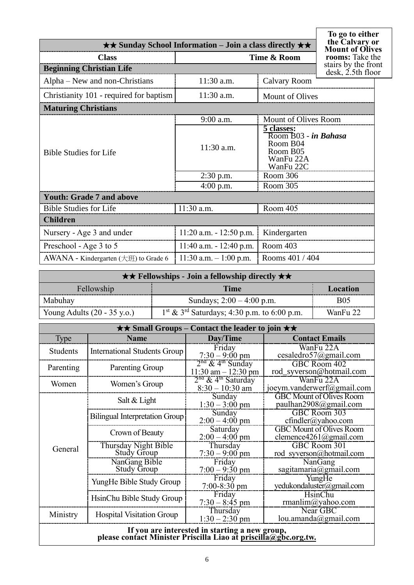| $\star\star$ Sunday School Information – Join a class directly $\star\star$ | To go to either<br>the Calvary or<br><b>Mount of Olives</b> |                                                                                      |  |
|-----------------------------------------------------------------------------|-------------------------------------------------------------|--------------------------------------------------------------------------------------|--|
| <b>Class</b>                                                                | rooms: Take the                                             |                                                                                      |  |
| <b>Beginning Christian Life</b>                                             |                                                             | stairs by the front<br>$\text{ desk}, \text{2.5th floor}$                            |  |
| Alpha – New and non-Christians                                              | $11:30$ a.m.                                                | <b>Calvary Room</b>                                                                  |  |
| Christianity 101 - required for baptism                                     | $11:30$ a.m.                                                | Mount of Olives                                                                      |  |
| <b>Maturing Christians</b>                                                  |                                                             |                                                                                      |  |
|                                                                             | 9:00 a.m.                                                   | Mount of Olives Room                                                                 |  |
| <b>Bible Studies for Life</b>                                               | 11:30 a.m.                                                  | 5 classes:<br>Room B03 - in Bahasa<br>Room B04<br>Room B05<br>WanFu 22A<br>WanFu 22C |  |
|                                                                             | $2:30$ p.m.                                                 | Room 306                                                                             |  |
|                                                                             | $4:00$ p.m.                                                 | Room 305                                                                             |  |
| <b>Youth: Grade 7 and above</b>                                             |                                                             |                                                                                      |  |
| <b>Bible Studies for Life</b>                                               | 11:30 a.m.                                                  | Room 405                                                                             |  |
| <b>Children</b>                                                             |                                                             |                                                                                      |  |
| Nursery - Age 3 and under                                                   | $11:20$ a.m. $-12:50$ p.m.                                  | Kindergarten                                                                         |  |
| Preschool - Age 3 to 5                                                      | $11:40$ a.m. $-12:40$ p.m.                                  | Room 403                                                                             |  |
| AWANA - Kindergarten $(\pm \text{H})$ to Grade 6                            | $11:30$ a.m. $-1:00$ p.m.                                   | Rooms 401 / 404                                                                      |  |

 $\lceil$ 

| $\star \star$ Fellowships - Join a fellowship directly $\star \star$ |                                                |            |  |  |
|----------------------------------------------------------------------|------------------------------------------------|------------|--|--|
| Fellowship<br>Time<br>Location                                       |                                                |            |  |  |
| Mabuhay                                                              | Sundays; $2:00 - 4:00$ p.m.                    | <b>B05</b> |  |  |
| Young Adults $(20 - 35 \text{ y.o.})$                                | $1st \& 3rd$ Saturdays; 4:30 p.m. to 6:00 p.m. | WanFu 22   |  |  |

| $\star \star$ Small Groups – Contact the leader to join $\star \star$ |                                            |                                                                 |                                                           |  |  |
|-----------------------------------------------------------------------|--------------------------------------------|-----------------------------------------------------------------|-----------------------------------------------------------|--|--|
| Type                                                                  | <b>Name</b>                                | Day/Time                                                        | <b>Contact Emails</b>                                     |  |  |
| <b>Students</b>                                                       | <b>International Students Group</b>        | Friday<br>$7:30 - 9:00$ pm                                      | WanFu 22A<br>cesaledro57@gmail.com                        |  |  |
| Parenting                                                             | Parenting Group                            | $2nd$ & 4 <sup>th</sup> Sunday<br>$11:30$ am $-12:30$ pm        | GBC Room 402<br>rod_syverson@hotmail.com                  |  |  |
| Women                                                                 | Women's Group                              | 2 <sup>nd</sup> & 4 <sup>th</sup> Saturday<br>$8:30 - 10:30$ am | WanFu 22A<br>joeym.vanderwerf@gmail.com                   |  |  |
|                                                                       | Salt & Light                               | Sunday<br>$1:30 - 3:00$ pm                                      | <b>GBC</b> Mount of Olives Room<br>paulhan2908@gmail.com  |  |  |
|                                                                       | <b>Bilingual Interpretation Group</b>      | Sunday<br>$2:00 - 4:00$ pm                                      | GBC Room 303<br>$cfindler(a)$ yahoo.com                   |  |  |
|                                                                       | Crown of Beauty                            | Saturday<br>$2:00 - 4:00$ pm                                    | <b>GBC Mount of Olives Room</b><br>clemence4261@gmail.com |  |  |
| General                                                               | Thursday Night Bible<br><b>Study Group</b> | Thursday<br>$7:30 - 9:00$ pm                                    | GBC Room 301<br>rod syverson@hotmail.com                  |  |  |
|                                                                       | NanGang Bible<br><b>Study Group</b>        | Friday<br>$7:00 - 9:30$ pm                                      | NanGang<br>sagitamaria@gmail.com                          |  |  |
|                                                                       | YungHe Bible Study Group                   | Friday<br>$7:00 - 8:30$ pm                                      | YungHe<br>yedukondaluster@gmail.com                       |  |  |
|                                                                       | HsinChu Bible Study Group                  | Friday<br>$7:30 - 8:45$ pm                                      | HsinChu<br>rmanlim@yahoo.com                              |  |  |
| Ministry                                                              | <b>Hospital Visitation Group</b>           | Thursday<br>$1:30 - 2:30$ pm                                    | Near GBC<br>lou. amanda@gmail.com                         |  |  |
| If you are interested in starting a new group,                        |                                            |                                                                 |                                                           |  |  |

#### **please contact Minister Priscilla Liao at [priscilla@gbc.org.tw.](mailto:priscilla@gbc.org.tw)**